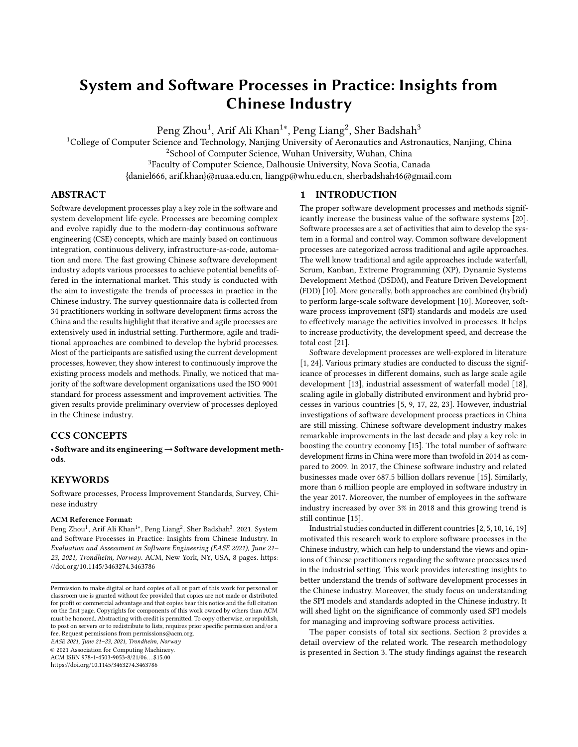# System and Software Processes in Practice: Insights from Chinese Industry

Peng Zhou $^1$ , Arif Ali Khan $^{1*}$ , Peng Liang $^2$ , Sher Badshah $^3$ 

<sup>1</sup>College of Computer Science and Technology, Nanjing University of Aeronautics and Astronautics, Nanjing, China <sup>2</sup>School of Computer Science, Wuhan University, Wuhan, China

<sup>3</sup>Faculty of Computer Science, Dalhousie University, Nova Scotia, Canada

{daniel666, arif.khan}@nuaa.edu.cn, liangp@whu.edu.cn, sherbadshah46@gmail.com

# ABSTRACT

Software development processes play a key role in the software and system development life cycle. Processes are becoming complex and evolve rapidly due to the modern-day continuous software engineering (CSE) concepts, which are mainly based on continuous integration, continuous delivery, infrastructure-as-code, automation and more. The fast growing Chinese software development industry adopts various processes to achieve potential benefits offered in the international market. This study is conducted with the aim to investigate the trends of processes in practice in the Chinese industry. The survey questionnaire data is collected from 34 practitioners working in software development firms across the China and the results highlight that iterative and agile processes are extensively used in industrial setting. Furthermore, agile and traditional approaches are combined to develop the hybrid processes. Most of the participants are satisfied using the current development processes, however, they show interest to continuously improve the existing process models and methods. Finally, we noticed that majority of the software development organizations used the ISO 9001 standard for process assessment and improvement activities. The given results provide preliminary overview of processes deployed in the Chinese industry.

# CCS CONCEPTS

• Software and its engineering→Software development methods.

#### KEYWORDS

Software processes, Process Improvement Standards, Survey, Chinese industry

#### ACM Reference Format:

Peng Zhou<sup>1</sup>, Arif Ali Khan<sup>1∗</sup>, Peng Liang<sup>2</sup>, Sher Badshah<sup>3</sup>. 2021. System and Software Processes in Practice: Insights from Chinese Industry. In Evaluation and Assessment in Software Engineering (EASE 2021), June 21– 23, 2021, Trondheim, Norway. ACM, New York, NY, USA, [8](#page-7-0) pages. [https:](https://doi.org/10.1145/3463274.3463786) [//doi.org/10.1145/3463274.3463786](https://doi.org/10.1145/3463274.3463786)

EASE 2021, June 21–23, 2021, Trondheim, Norway

© 2021 Association for Computing Machinery.

<https://doi.org/10.1145/3463274.3463786>

ACM ISBN 978-1-4503-9053-8/21/06. . . \$15.00

## 1 INTRODUCTION

The proper software development processes and methods significantly increase the business value of the software systems [\[20\]](#page-7-1). Software processes are a set of activities that aim to develop the system in a formal and control way. Common software development processes are categorized across traditional and agile approaches. The well know traditional and agile approaches include waterfall, Scrum, Kanban, Extreme Programming (XP), Dynamic Systems Development Method (DSDM), and Feature Driven Development (FDD) [\[10\]](#page-7-2). More generally, both approaches are combined (hybrid) to perform large-scale software development [\[10\]](#page-7-2). Moreover, software process improvement (SPI) standards and models are used to effectively manage the activities involved in processes. It helps to increase productivity, the development speed, and decrease the total cost [\[21\]](#page-7-3).

Software development processes are well-explored in literature [\[1,](#page-6-0) [24\]](#page-7-4). Various primary studies are conducted to discuss the significance of processes in different domains, such as large scale agile development [\[13\]](#page-7-5), industrial assessment of waterfall model [\[18\]](#page-7-6), scaling agile in globally distributed environment and hybrid processes in various countries [\[5,](#page-7-7) [9,](#page-7-8) [17,](#page-7-9) [22,](#page-7-10) [23\]](#page-7-11). However, industrial investigations of software development process practices in China are still missing. Chinese software development industry makes remarkable improvements in the last decade and play a key role in boosting the country economy [\[15\]](#page-7-12). The total number of software development firms in China were more than twofold in 2014 as compared to 2009. In 2017, the Chinese software industry and related businesses made over 687.5 billion dollars revenue [\[15\]](#page-7-12). Similarly, more than 6 million people are employed in software industry in the year 2017. Moreover, the number of employees in the software industry increased by over 3% in 2018 and this growing trend is still continue [\[15\]](#page-7-12).

Industrial studies conducted in different countries [\[2,](#page-7-13) [5,](#page-7-7) [10,](#page-7-2) [16,](#page-7-14) [19\]](#page-7-15) motivated this research work to explore software processes in the Chinese industry, which can help to understand the views and opinions of Chinese practitioners regarding the software processes used in the industrial setting. This work provides interesting insights to better understand the trends of software development processes in the Chinese industry. Moreover, the study focus on understanding the SPI models and standards adopted in the Chinese industry. It will shed light on the significance of commonly used SPI models for managing and improving software process activities.

The paper consists of total six sections. Section 2 provides a detail overview of the related work. The research methodology is presented in Section 3. The study findings against the research

Permission to make digital or hard copies of all or part of this work for personal or classroom use is granted without fee provided that copies are not made or distributed for profit or commercial advantage and that copies bear this notice and the full citation on the first page. Copyrights for components of this work owned by others than ACM must be honored. Abstracting with credit is permitted. To copy otherwise, or republish, to post on servers or to redistribute to lists, requires prior specific permission and/or a fee. Request permissions from permissions@acm.org.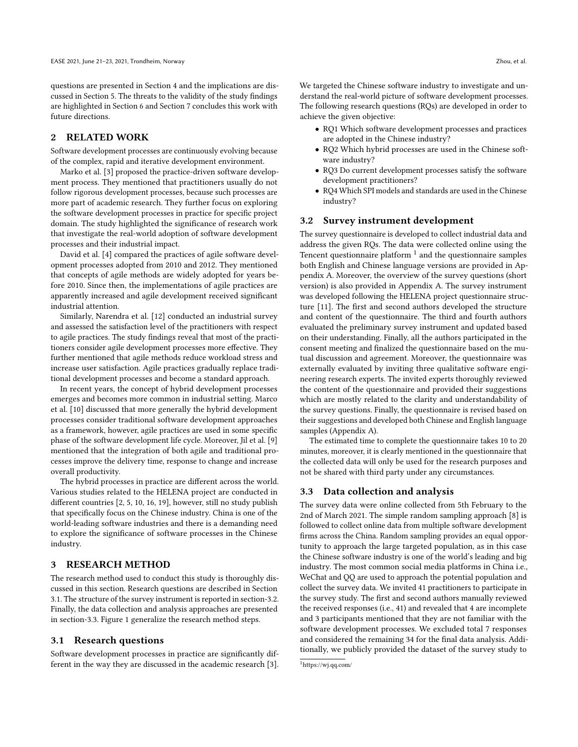questions are presented in Section 4 and the implications are discussed in Section 5. The threats to the validity of the study findings are highlighted in Section 6 and Section 7 concludes this work with future directions.

# 2 RELATED WORK

Software development processes are continuously evolving because of the complex, rapid and iterative development environment.

Marko et al. [\[3\]](#page-7-16) proposed the practice-driven software development process. They mentioned that practitioners usually do not follow rigorous development processes, because such processes are more part of academic research. They further focus on exploring the software development processes in practice for specific project domain. The study highlighted the significance of research work that investigate the real-world adoption of software development processes and their industrial impact.

David et al. [\[4\]](#page-7-17) compared the practices of agile software development processes adopted from 2010 and 2012. They mentioned that concepts of agile methods are widely adopted for years before 2010. Since then, the implementations of agile practices are apparently increased and agile development received significant industrial attention.

Similarly, Narendra et al. [\[12\]](#page-7-18) conducted an industrial survey and assessed the satisfaction level of the practitioners with respect to agile practices. The study findings reveal that most of the practitioners consider agile development processes more effective. They further mentioned that agile methods reduce workload stress and increase user satisfaction. Agile practices gradually replace traditional development processes and become a standard approach.

In recent years, the concept of hybrid development processes emerges and becomes more common in industrial setting. Marco et al. [\[10\]](#page-7-2) discussed that more generally the hybrid development processes consider traditional software development approaches as a framework, however, agile practices are used in some specific phase of the software development life cycle. Moreover, Jil et al. [\[9\]](#page-7-8) mentioned that the integration of both agile and traditional processes improve the delivery time, response to change and increase overall productivity.

The hybrid processes in practice are different across the world. Various studies related to the HELENA project are conducted in different countries [\[2,](#page-7-13) [5,](#page-7-7) [10,](#page-7-2) [16,](#page-7-14) [19\]](#page-7-15), however, still no study publish that specifically focus on the Chinese industry. China is one of the world-leading software industries and there is a demanding need to explore the significance of software processes in the Chinese industry.

#### 3 RESEARCH METHOD

The research method used to conduct this study is thoroughly discussed in this section. Research questions are described in Section 3.1. The structure of the survey instrument is reported in section-3.2. Finally, the data collection and analysis approaches are presented in section-3.3. Figure [1](#page-2-0) generalize the research method steps.

#### 3.1 Research questions

Software development processes in practice are significantly different in the way they are discussed in the academic research [\[3\]](#page-7-16). We targeted the Chinese software industry to investigate and understand the real-world picture of software development processes. The following research questions (RQs) are developed in order to achieve the given objective:

- RQ1 Which software development processes and practices are adopted in the Chinese industry?
- RQ2 Which hybrid processes are used in the Chinese software industry?
- RQ3 Do current development processes satisfy the software development practitioners?
- RQ4 Which SPI models and standards are used in the Chinese industry?

#### 3.2 Survey instrument development

The survey questionnaire is developed to collect industrial data and address the given RQs. The data were collected online using the Tencent questionnaire platform  $^1$  $^1$  and the questionnaire samples both English and Chinese language versions are provided in Appendix A. Moreover, the overview of the survey questions (short version) is also provided in Appendix A. The survey instrument was developed following the HELENA project questionnaire structure [\[11\]](#page-7-19). The first and second authors developed the structure and content of the questionnaire. The third and fourth authors evaluated the preliminary survey instrument and updated based on their understanding. Finally, all the authors participated in the consent meeting and finalized the questionnaire based on the mutual discussion and agreement. Moreover, the questionnaire was externally evaluated by inviting three qualitative software engineering research experts. The invited experts thoroughly reviewed the content of the questionnaire and provided their suggestions which are mostly related to the clarity and understandability of the survey questions. Finally, the questionnaire is revised based on their suggestions and developed both Chinese and English language samples (Appendix A).

The estimated time to complete the questionnaire takes 10 to 20 minutes, moreover, it is clearly mentioned in the questionnaire that the collected data will only be used for the research purposes and not be shared with third party under any circumstances.

#### 3.3 Data collection and analysis

The survey data were online collected from 5th February to the 2nd of March 2021. The simple random sampling approach [\[8\]](#page-7-20) is followed to collect online data from multiple software development firms across the China. Random sampling provides an equal opportunity to approach the large targeted population, as in this case the Chinese software industry is one of the world's leading and big industry. The most common social media platforms in China i.e., WeChat and QQ are used to approach the potential population and collect the survey data. We invited 41 practitioners to participate in the survey study. The first and second authors manually reviewed the received responses (i.e., 41) and revealed that 4 are incomplete and 3 participants mentioned that they are not familiar with the software development processes. We excluded total 7 responses and considered the remaining 34 for the final data analysis. Additionally, we publicly provided the dataset of the survey study to

<span id="page-1-0"></span><sup>1</sup>https://wj.qq.com/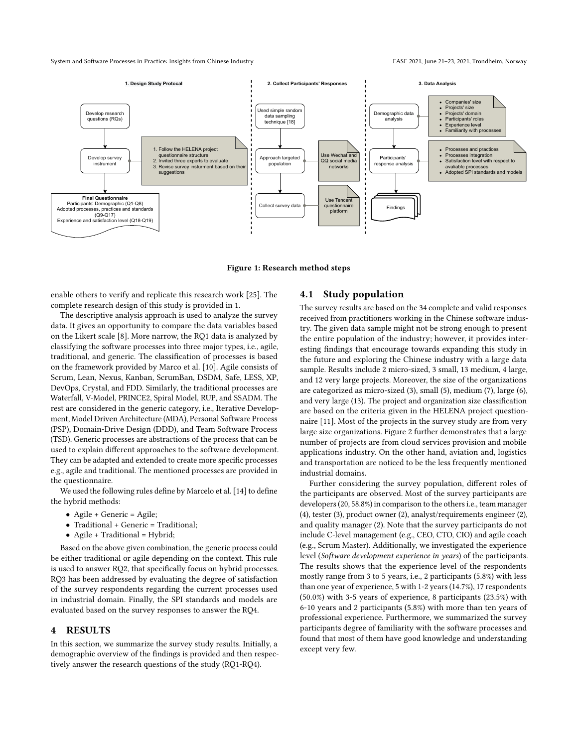<span id="page-2-0"></span>

Figure 1: Research method steps

enable others to verify and replicate this research work [\[25\]](#page-7-21). The complete research design of this study is provided in [1.](#page-2-0)

The descriptive analysis approach is used to analyze the survey data. It gives an opportunity to compare the data variables based on the Likert scale [\[8\]](#page-7-20). More narrow, the RQ1 data is analyzed by classifying the software processes into three major types, i.e., agile, traditional, and generic. The classification of processes is based on the framework provided by Marco et al. [\[10\]](#page-7-2). Agile consists of Scrum, Lean, Nexus, Kanban, ScrumBan, DSDM, Safe, LESS, XP, DevOps, Crystal, and FDD. Similarly, the traditional processes are Waterfall, V-Model, PRINCE2, Spiral Model, RUP, and SSADM. The rest are considered in the generic category, i.e., Iterative Development, Model Driven Architecture (MDA), Personal Software Process (PSP), Domain-Drive Design (DDD), and Team Software Process (TSD). Generic processes are abstractions of the process that can be used to explain different approaches to the software development. They can be adapted and extended to create more specific processes e.g., agile and traditional. The mentioned processes are provided in the questionnaire.

We used the following rules define by Marcelo et al. [\[14\]](#page-7-22) to define the hybrid methods:

- Agile + Generic = Agile;
- Traditional + Generic = Traditional;
- Agile + Traditional = Hybrid;

Based on the above given combination, the generic process could be either traditional or agile depending on the context. This rule is used to answer RQ2, that specifically focus on hybrid processes. RQ3 has been addressed by evaluating the degree of satisfaction of the survey respondents regarding the current processes used in industrial domain. Finally, the SPI standards and models are evaluated based on the survey responses to answer the RQ4.

### 4 RESULTS

In this section, we summarize the survey study results. Initially, a demographic overview of the findings is provided and then respectively answer the research questions of the study (RQ1-RQ4).

# 4.1 Study population

The survey results are based on the 34 complete and valid responses received from practitioners working in the Chinese software industry. The given data sample might not be strong enough to present the entire population of the industry; however, it provides interesting findings that encourage towards expanding this study in the future and exploring the Chinese industry with a large data sample. Results include 2 micro-sized, 3 small, 13 medium, 4 large, and 12 very large projects. Moreover, the size of the organizations are categorized as micro-sized (3), small (5), medium (7), large (6), and very large (13). The project and organization size classification are based on the criteria given in the HELENA project questionnaire [\[11\]](#page-7-19). Most of the projects in the survey study are from very large size organizations. Figure [2](#page-3-0) further demonstrates that a large number of projects are from cloud services provision and mobile applications industry. On the other hand, aviation and, logistics and transportation are noticed to be the less frequently mentioned industrial domains.

Further considering the survey population, different roles of the participants are observed. Most of the survey participants are developers (20, 58.8%) in comparison to the others i.e., team manager (4), tester (3), product owner (2), analyst/requirements engineer (2), and quality manager (2). Note that the survey participants do not include C-level management (e.g., CEO, CTO, CIO) and agile coach (e.g., Scrum Master). Additionally, we investigated the experience level (Software development experience in years) of the participants. The results shows that the experience level of the respondents mostly range from 3 to 5 years, i.e., 2 participants (5.8%) with less than one year of experience, 5 with 1-2 years (14.7%), 17 respondents (50.0%) with 3-5 years of experience, 8 participants (23.5%) with 6-10 years and 2 participants (5.8%) with more than ten years of professional experience. Furthermore, we summarized the survey participants degree of familiarity with the software processes and found that most of them have good knowledge and understanding except very few.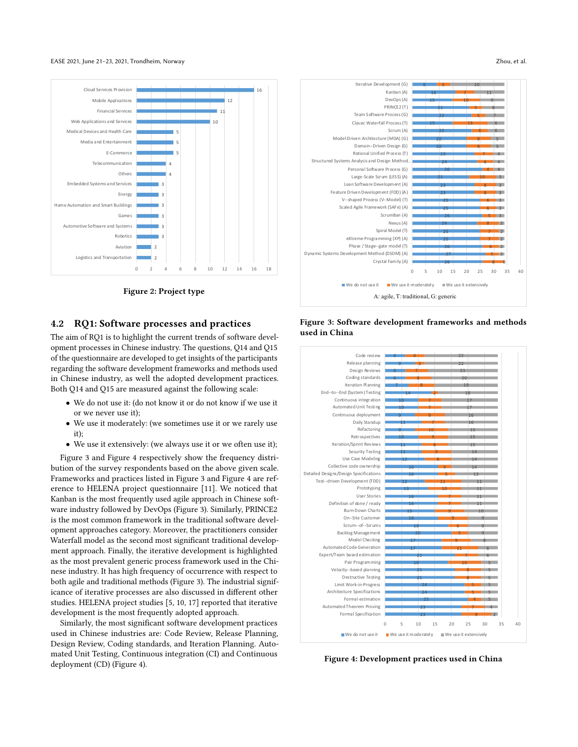#### EASE 2021, June 21-23, 2021, Trondheim, Norway Zhou, et al. 2021, 2021, 2021, 2021, 2021, 2021, 2021, 2021, 2021, 2021, 2021, 2021, 2021, 2021, 2021, 2021, 2021, 2021, 2021, 2021, 2022, 2021, 2022, 2021, 2022, 2021, 2022,

<span id="page-3-0"></span>

Figure 2: Project type

#### 4.2 RQ1: Software processes and practices

The aim of RQ1 is to highlight the current trends of software development processes in Chinese industry. The questions, Q14 and Q15 of the questionnaire are developed to get insights of the participants regarding the software development frameworks and methods used in Chinese industry, as well the adopted development practices. Both Q14 and Q15 are measured against the following scale:

- We do not use it: (do not know it or do not know if we use it or we never use it);
- We use it moderately: (we sometimes use it or we rarely use it);
- We use it extensively: (we always use it or we often use it);

Figure [3](#page-3-1) and Figure [4](#page-3-2) respectively show the frequency distribution of the survey respondents based on the above given scale. Frameworks and practices listed in Figure [3](#page-3-1) and Figure [4](#page-3-2) are reference to HELENA project questionnaire [\[11\]](#page-7-19). We noticed that Kanban is the most frequently used agile approach in Chinese software industry followed by DevOps (Figure [3\)](#page-3-1). Similarly, PRINCE2 is the most common framework in the traditional software development approaches category. Moreover, the practitioners consider Waterfall model as the second most significant traditional development approach. Finally, the iterative development is highlighted as the most prevalent generic process framework used in the Chinese industry. It has high frequency of occurrence with respect to both agile and traditional methods (Figure [3\)](#page-3-1). The industrial significance of iterative processes are also discussed in different other studies. HELENA project studies [\[5,](#page-7-7) [10,](#page-7-2) [17\]](#page-7-9) reported that iterative development is the most frequently adopted approach.

Similarly, the most significant software development practices used in Chinese industries are: Code Review, Release Planning, Design Review, Coding standards, and Iteration Planning. Automated Unit Testing, Continuous integration (CI) and Continuous

<span id="page-3-1"></span>

<span id="page-3-2"></span>Figure 3: Software development frameworks and methods used in China



Figure 4: Development practices used in China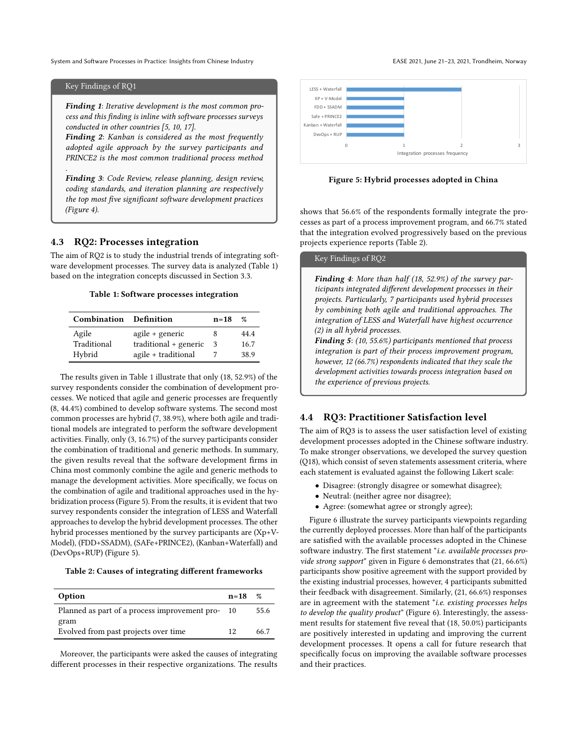System and Software Processes in Practice: Insights from Chinese Industry extending the State of the EASE 2021, June 21-23, 2021, Trondheim, Norway

#### Key Findings of RQ1

.

Finding 1: Iterative development is the most common process and this finding is inline with software processes surveys conducted in other countries [\[5,](#page-7-7) [10,](#page-7-2) [17\]](#page-7-9).

Finding 2: Kanban is considered as the most frequently adopted agile approach by the survey participants and PRINCE2 is the most common traditional process method

Finding 3: Code Review, release planning, design review, coding standards, and iteration planning are respectively the top most five significant software development practices (Figure [4\)](#page-3-2).

#### 4.3 RQ2: Processes integration

The aim of RQ2 is to study the industrial trends of integrating software development processes. The survey data is analyzed (Table [1\)](#page-4-0) based on the integration concepts discussed in Section 3.3.

#### Table 1: Software processes integration

<span id="page-4-0"></span>

| <b>Combination</b> Definition |                       | $n=18$ | 07   |
|-------------------------------|-----------------------|--------|------|
| Agile                         | agile + generic       |        | 44.4 |
| Traditional                   | traditional + generic | -3     | 16.7 |
| Hybrid                        | agile + traditional   |        | 38.9 |

The results given in Table [1](#page-4-0) illustrate that only (18, 52.9%) of the survey respondents consider the combination of development processes. We noticed that agile and generic processes are frequently (8, 44.4%) combined to develop software systems. The second most common processes are hybrid (7, 38.9%), where both agile and traditional models are integrated to perform the software development activities. Finally, only (3, 16.7%) of the survey participants consider the combination of traditional and generic methods. In summary, the given results reveal that the software development firms in China most commonly combine the agile and generic methods to manage the development activities. More specifically, we focus on the combination of agile and traditional approaches used in the hybridization process (Figure [5\)](#page-4-1). From the results, it is evident that two survey respondents consider the integration of LESS and Waterfall approaches to develop the hybrid development processes. The other hybrid processes mentioned by the survey participants are (Xp+V-Model), (FDD+SSADM), (SAFe+PRINCE2), (Kanban+Waterfall) and (DevOps+RUP) (Figure [5\)](#page-4-1).

#### <span id="page-4-2"></span>Table 2: Causes of integrating different frameworks

| Option                                           | $n = 18$ | $\%$ |
|--------------------------------------------------|----------|------|
| Planned as part of a process improvement pro- 10 |          | 55.6 |
| gram<br>Evolved from past projects over time     | 12       | 66.7 |

Moreover, the participants were asked the causes of integrating different processes in their respective organizations. The results

<span id="page-4-1"></span>

Figure 5: Hybrid processes adopted in China

shows that 56.6% of the respondents formally integrate the processes as part of a process improvement program, and 66.7% stated that the integration evolved progressively based on the previous projects experience reports (Table [2\)](#page-4-2).

# Key Findings of RQ2

Finding 4: More than half (18, 52.9%) of the survey participants integrated different development processes in their projects. Particularly, 7 participants used hybrid processes by combining both agile and traditional approaches. The integration of LESS and Waterfall have highest occurrence (2) in all hybrid processes.

Finding 5: (10, 55.6%) participants mentioned that process integration is part of their process improvement program, however, 12 (66.7%) respondents indicated that they scale the development activities towards process integration based on the experience of previous projects.

#### 4.4 RQ3: Practitioner Satisfaction level

The aim of RQ3 is to assess the user satisfaction level of existing development processes adopted in the Chinese software industry. To make stronger observations, we developed the survey question (Q18), which consist of seven statements assessment criteria, where each statement is evaluated against the following Likert scale:

- Disagree: (strongly disagree or somewhat disagree);
- Neutral: (neither agree nor disagree);
- Agree: (somewhat agree or strongly agree);

Figure [6](#page-5-0) illustrate the survey participants viewpoints regarding the currently deployed processes. More than half of the participants are satisfied with the available processes adopted in the Chinese software industry. The first statement "i.e. available processes provide strong support" given in Figure [6](#page-5-0) demonstrates that (21, 66.6%) participants show positive agreement with the support provided by the existing industrial processes, however, 4 participants submitted their feedback with disagreement. Similarly, (21, 66.6%) responses are in agreement with the statement "i.e. existing processes helps to develop the quality product" (Figure [6\)](#page-5-0). Interestingly, the assessment results for statement five reveal that (18, 50.0%) participants are positively interested in updating and improving the current development processes. It opens a call for future research that specifically focus on improving the available software processes and their practices.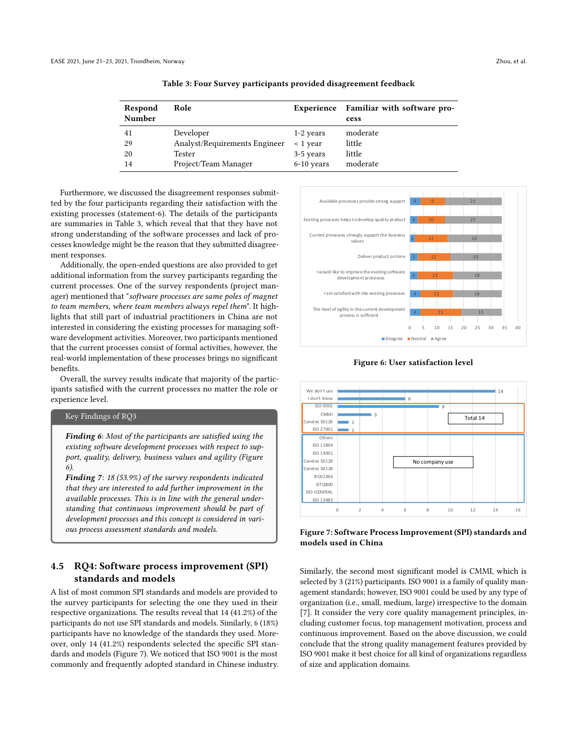<span id="page-5-1"></span>

| Respond<br>Number | Role                          |                  | Experience Familiar with software pro-<br>cess |
|-------------------|-------------------------------|------------------|------------------------------------------------|
| 41                | Developer                     | 1-2 years        | moderate                                       |
| 29                | Analyst/Requirements Engineer | $\langle$ 1 vear | little                                         |
| 20                | Tester                        | 3-5 years        | little                                         |
| 14                | Project/Team Manager          | $6-10$ years     | moderate                                       |

Table 3: Four Survey participants provided disagreement feedback

Furthermore, we discussed the disagreement responses submitted by the four participants regarding their satisfaction with the existing processes (statement-6). The details of the participants are summaries in Table [3,](#page-5-1) which reveal that that they have not strong understanding of the software processes and lack of processes knowledge might be the reason that they submitted disagreement responses.

Additionally, the open-ended questions are also provided to get additional information from the survey participants regarding the current processes. One of the survey respondents (project manager) mentioned that "software processes are same poles of magnet to team members, where team members always repel them". It highlights that still part of industrial practitioners in China are not interested in considering the existing processes for managing software development activities. Moreover, two participants mentioned that the current processes consist of formal activities, however, the real-world implementation of these processes brings no significant benefits.

Overall, the survey results indicate that majority of the participants satisfied with the current processes no matter the role or experience level.

#### Key Findings of RQ3

Finding 6: Most of the participants are satisfied using the existing software development processes with respect to support, quality, delivery, business values and agility (Figure [6\)](#page-5-0).

Finding 7: 18 (53.9%) of the survey respondents indicated that they are interested to add further improvement in the available processes. This is in line with the general understanding that continuous improvement should be part of development processes and this concept is considered in various process assessment standards and models.

# 4.5 RQ4: Software process improvement (SPI) standards and models

A list of most common SPI standards and models are provided to the survey participants for selecting the one they used in their respective organizations. The results reveal that 14 (41.2%) of the participants do not use SPI standards and models. Similarly, 6 (18%) participants have no knowledge of the standards they used. Moreover, only 14 (41.2%) respondents selected the specific SPI standards and models (Figure [7\)](#page-5-2). We noticed that ISO 9001 is the most commonly and frequently adopted standard in Chinese industry.

<span id="page-5-0"></span>

Figure 6: User satisfaction level

<span id="page-5-2"></span>

Figure 7: Software Process Improvement (SPI) standards and models used in China

Similarly, the second most significant model is CMMI, which is selected by 3 (21%) participants. ISO 9001 is a family of quality management standards; however, ISO 9001 could be used by any type of organization (i.e., small, medium, large) irrespective to the domain [\[7\]](#page-7-23). It consider the very core quality management principles, including customer focus, top management motivation, process and continuous improvement. Based on the above discussion, we could conclude that the strong quality management features provided by ISO 9001 make it best choice for all kind of organizations regardless of size and application domains.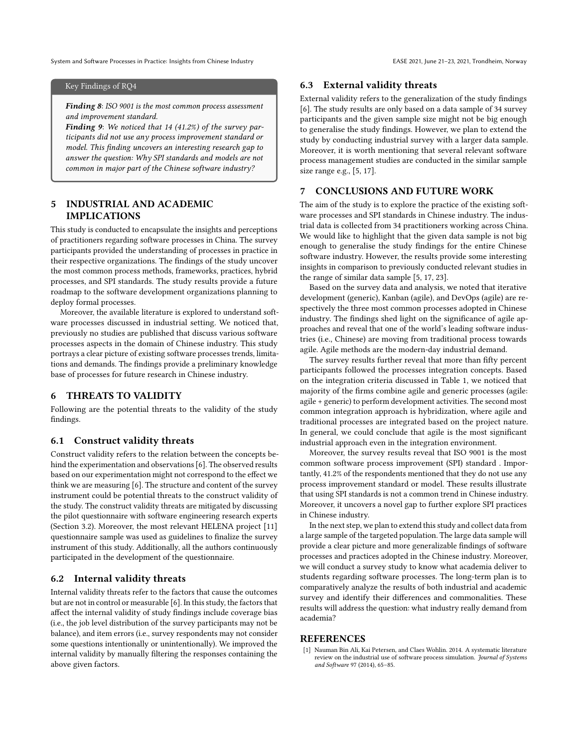System and Software Processes in Practice: Insights from Chinese Industry extending the State of the EASE 2021, June 21-23, 2021, Trondheim, Norway

### Key Findings of RQ4

Finding 8: ISO 9001 is the most common process assessment and improvement standard.

Finding 9: We noticed that 14 (41.2%) of the survey participants did not use any process improvement standard or model. This finding uncovers an interesting research gap to answer the question: Why SPI standards and models are not common in major part of the Chinese software industry?

# 5 INDUSTRIAL AND ACADEMIC IMPLICATIONS

This study is conducted to encapsulate the insights and perceptions of practitioners regarding software processes in China. The survey participants provided the understanding of processes in practice in their respective organizations. The findings of the study uncover the most common process methods, frameworks, practices, hybrid processes, and SPI standards. The study results provide a future roadmap to the software development organizations planning to deploy formal processes.

Moreover, the available literature is explored to understand software processes discussed in industrial setting. We noticed that, previously no studies are published that discuss various software processes aspects in the domain of Chinese industry. This study portrays a clear picture of existing software processes trends, limitations and demands. The findings provide a preliminary knowledge base of processes for future research in Chinese industry.

# 6 THREATS TO VALIDITY

Following are the potential threats to the validity of the study findings.

### 6.1 Construct validity threats

Construct validity refers to the relation between the concepts behind the experimentation and observations [\[6\]](#page-7-24). The observed results based on our experimentation might not correspond to the effect we think we are measuring [\[6\]](#page-7-24). The structure and content of the survey instrument could be potential threats to the construct validity of the study. The construct validity threats are mitigated by discussing the pilot questionnaire with software engineering research experts (Section 3.2). Moreover, the most relevant HELENA project [\[11\]](#page-7-19) questionnaire sample was used as guidelines to finalize the survey instrument of this study. Additionally, all the authors continuously participated in the development of the questionnaire.

#### 6.2 Internal validity threats

Internal validity threats refer to the factors that cause the outcomes but are not in control or measurable [\[6\]](#page-7-24). In this study, the factors that affect the internal validity of study findings include coverage bias (i.e., the job level distribution of the survey participants may not be balance), and item errors (i.e., survey respondents may not consider some questions intentionally or unintentionally). We improved the internal validity by manually filtering the responses containing the above given factors.

#### 6.3 External validity threats

External validity refers to the generalization of the study findings [\[6\]](#page-7-24). The study results are only based on a data sample of 34 survey participants and the given sample size might not be big enough to generalise the study findings. However, we plan to extend the study by conducting industrial survey with a larger data sample. Moreover, it is worth mentioning that several relevant software process management studies are conducted in the similar sample size range e.g., [\[5,](#page-7-7) [17\]](#page-7-9).

# 7 CONCLUSIONS AND FUTURE WORK

The aim of the study is to explore the practice of the existing software processes and SPI standards in Chinese industry. The industrial data is collected from 34 practitioners working across China. We would like to highlight that the given data sample is not big enough to generalise the study findings for the entire Chinese software industry. However, the results provide some interesting insights in comparison to previously conducted relevant studies in the range of similar data sample [\[5,](#page-7-7) [17,](#page-7-9) [23\]](#page-7-11).

Based on the survey data and analysis, we noted that iterative development (generic), Kanban (agile), and DevOps (agile) are respectively the three most common processes adopted in Chinese industry. The findings shed light on the significance of agile approaches and reveal that one of the world's leading software industries (i.e., Chinese) are moving from traditional process towards agile. Agile methods are the modern-day industrial demand.

The survey results further reveal that more than fifty percent participants followed the processes integration concepts. Based on the integration criteria discussed in Table 1, we noticed that majority of the firms combine agile and generic processes (agile: agile + generic) to perform development activities. The second most common integration approach is hybridization, where agile and traditional processes are integrated based on the project nature. In general, we could conclude that agile is the most significant industrial approach even in the integration environment.

Moreover, the survey results reveal that ISO 9001 is the most common software process improvement (SPI) standard . Importantly, 41.2% of the respondents mentioned that they do not use any process improvement standard or model. These results illustrate that using SPI standards is not a common trend in Chinese industry. Moreover, it uncovers a novel gap to further explore SPI practices in Chinese industry.

In the next step, we plan to extend this study and collect data from a large sample of the targeted population. The large data sample will provide a clear picture and more generalizable findings of software processes and practices adopted in the Chinese industry. Moreover, we will conduct a survey study to know what academia deliver to students regarding software processes. The long-term plan is to comparatively analyze the results of both industrial and academic survey and identify their differences and commonalities. These results will address the question: what industry really demand from academia?

#### REFERENCES

<span id="page-6-0"></span>[1] Nauman Bin Ali, Kai Petersen, and Claes Wohlin. 2014. A systematic literature review on the industrial use of software process simulation. Journal of Systems and Software 97 (2014), 65–85.